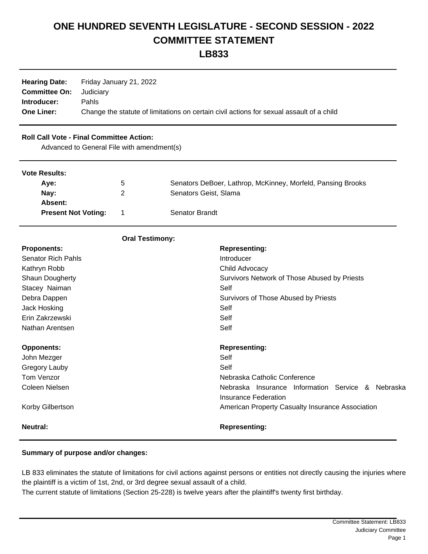## **ONE HUNDRED SEVENTH LEGISLATURE - SECOND SESSION - 2022 COMMITTEE STATEMENT**

**LB833**

| <b>Hearing Date:</b>           | Friday January 21, 2022                                                                  |
|--------------------------------|------------------------------------------------------------------------------------------|
| <b>Committee On:</b> Judiciary |                                                                                          |
| Introducer:                    | <b>Pahls</b>                                                                             |
| <b>One Liner:</b>              | Change the statute of limitations on certain civil actions for sexual assault of a child |

## **Roll Call Vote - Final Committee Action:**

Advanced to General File with amendment(s)

| <b>Vote Results:</b>       |                |                                                             |
|----------------------------|----------------|-------------------------------------------------------------|
| Ave:                       | 5              | Senators DeBoer, Lathrop, McKinney, Morfeld, Pansing Brooks |
| Nay:                       | 2              | Senators Geist, Slama                                       |
| Absent:                    |                |                                                             |
| <b>Present Not Voting:</b> | $\overline{1}$ | Senator Brandt                                              |
|                            |                |                                                             |

|                           | <b>Oral Testimony:</b>                            |
|---------------------------|---------------------------------------------------|
| <b>Proponents:</b>        | <b>Representing:</b>                              |
| <b>Senator Rich Pahls</b> | Introducer                                        |
| Kathryn Robb              | Child Advocacy                                    |
| <b>Shaun Dougherty</b>    | Survivors Network of Those Abused by Priests      |
| Stacey Naiman             | Self                                              |
| Debra Dappen              | Survivors of Those Abused by Priests              |
| Jack Hosking              | Self                                              |
| Erin Zakrzewski           | Self                                              |
| Nathan Arentsen           | Self                                              |
| <b>Opponents:</b>         | <b>Representing:</b>                              |
| John Mezger               | Self                                              |
| Gregory Lauby             | Self                                              |
| Tom Venzor                | Nebraska Catholic Conference                      |
| Coleen Nielsen            | Nebraska Insurance Information Service & Nebraska |
|                           | Insurance Federation                              |
| Korby Gilbertson          | American Property Casualty Insurance Association  |
| <b>Neutral:</b>           | <b>Representing:</b>                              |

## **Summary of purpose and/or changes:**

LB 833 eliminates the statute of limitations for civil actions against persons or entities not directly causing the injuries where the plaintiff is a victim of 1st, 2nd, or 3rd degree sexual assault of a child.

The current statute of limitations (Section 25-228) is twelve years after the plaintiff's twenty first birthday.